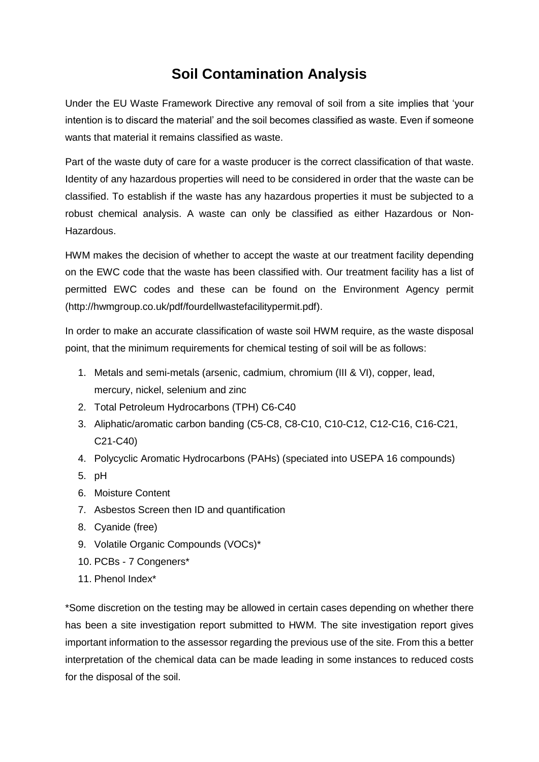## **Soil Contamination Analysis**

Under the EU Waste Framework Directive any removal of soil from a site implies that 'your intention is to discard the material' and the soil becomes classified as waste. Even if someone wants that material it remains classified as waste.

Part of the waste duty of care for a waste producer is the correct classification of that waste. Identity of any hazardous properties will need to be considered in order that the waste can be classified. To establish if the waste has any hazardous properties it must be subjected to a robust chemical analysis. A waste can only be classified as either Hazardous or Non-Hazardous.

HWM makes the decision of whether to accept the waste at our treatment facility depending on the EWC code that the waste has been classified with. Our treatment facility has a list of permitted EWC codes and these can be found on the Environment Agency permit (http://hwmgroup.co.uk/pdf/fourdellwastefacilitypermit.pdf).

In order to make an accurate classification of waste soil HWM require, as the waste disposal point, that the minimum requirements for chemical testing of soil will be as follows:

- 1. Metals and semi-metals (arsenic, cadmium, chromium (III & VI), copper, lead, mercury, nickel, selenium and zinc
- 2. Total Petroleum Hydrocarbons (TPH) C6-C40
- 3. Aliphatic/aromatic carbon banding (C5-C8, C8-C10, C10-C12, C12-C16, C16-C21, C21-C40)
- 4. Polycyclic Aromatic Hydrocarbons (PAHs) (speciated into USEPA 16 compounds)
- 5. pH
- 6. Moisture Content
- 7. Asbestos Screen then ID and quantification
- 8. Cyanide (free)
- 9. Volatile Organic Compounds (VOCs)\*
- 10. PCBs 7 Congeners\*
- 11. Phenol Index\*

\*Some discretion on the testing may be allowed in certain cases depending on whether there has been a site investigation report submitted to HWM. The site investigation report gives important information to the assessor regarding the previous use of the site. From this a better interpretation of the chemical data can be made leading in some instances to reduced costs for the disposal of the soil.